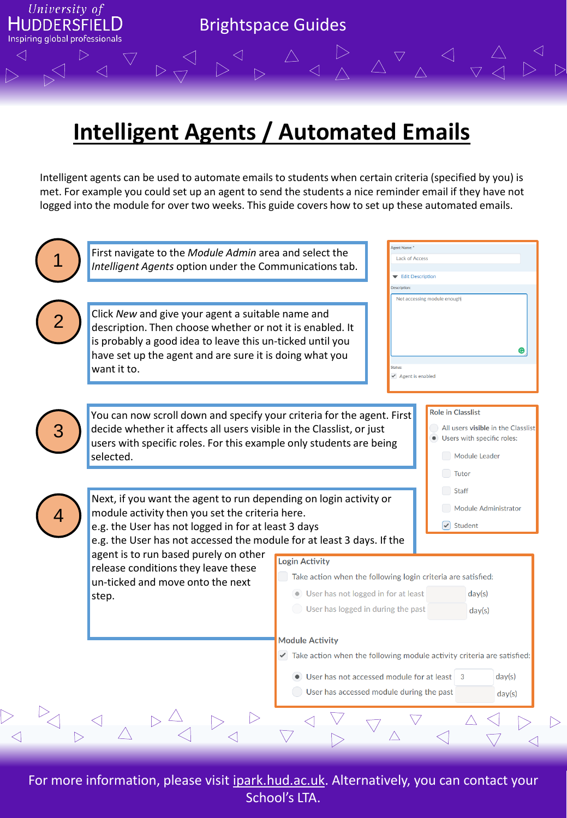

## **Intelligent Agents / Automated Emails**

Intelligent agents can be used to automate emails to students when certain criteria (specified by you) is met. For example you could set up an agent to send the students a nice reminder email if they have not logged into the module for over two weeks. This guide covers how to set up these automated emails.



For more information, please visit ipark.hud.ac.uk. Alternatively, you can contact your School's LTA.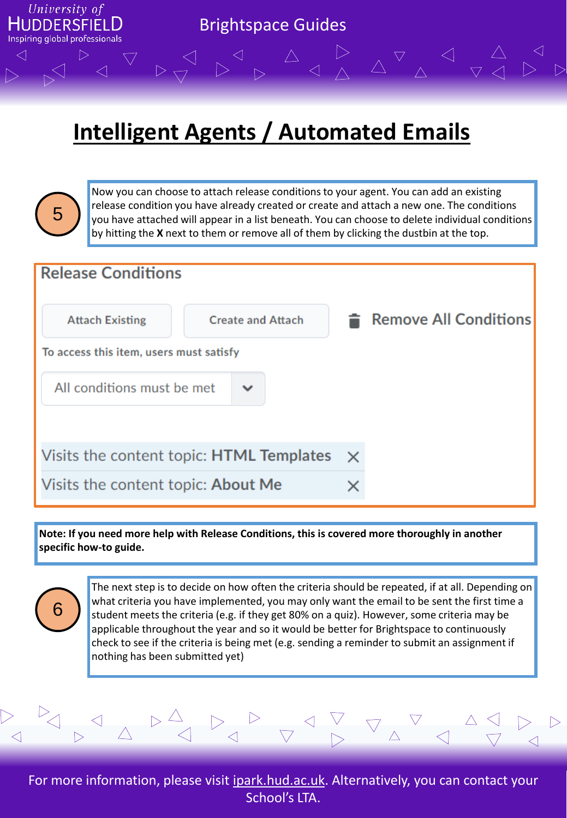

## **Intelligent Agents / Automated Emails**



6

Now you can choose to attach release conditions to your agent. You can add an existing release condition you have already created or create and attach a new one. The conditions you have attached will appear in a list beneath. You can choose to delete individual conditions by hitting the **X** next to them or remove all of them by clicking the dustbin at the top.



**Note: If you need more help with Release Conditions, this is covered more thoroughly in another specific how-to guide.** 

> The next step is to decide on how often the criteria should be repeated, if at all. Depending on what criteria you have implemented, you may only want the email to be sent the first time a student meets the criteria (e.g. if they get 80% on a quiz). However, some criteria may be applicable throughout the year and so it would be better for Brightspace to continuously check to see if the criteria is being met (e.g. sending a reminder to submit an assignment if nothing has been submitted yet)



For more information, please visit ipark.hud.ac.uk. Alternatively, you can contact your School's LTA.